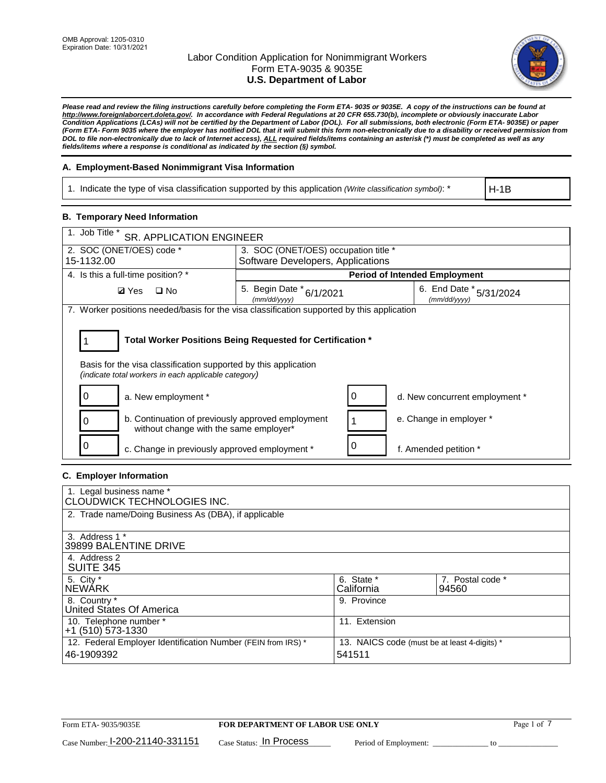

*Please read and review the filing instructions carefully before completing the Form ETA- 9035 or 9035E. A copy of the instructions can be found at [http://www.foreignlaborcert.doleta.gov/.](http://www.foreignlaborcert.doleta.gov/) In accordance with Federal Regulations at 20 CFR 655.730(b), incomplete or obviously inaccurate Labor Condition Applications (LCAs) will not be certified by the Department of Labor (DOL). For all submissions, both electronic (Form ETA- 9035E) or paper (Form ETA- Form 9035 where the employer has notified DOL that it will submit this form non-electronically due to a disability or received permission from DOL to file non-electronically due to lack of Internet access), ALL required fields/items containing an asterisk (\*) must be completed as well as any fields/items where a response is conditional as indicated by the section (§) symbol.* 

## **A. Employment-Based Nonimmigrant Visa Information**

1. Indicate the type of visa classification supported by this application *(Write classification symbol)*: \*

H-1B

## **B. Temporary Need Information**

| 1. Job Title *<br><b>SR. APPLICATION ENGINEER</b>                                                                                                                                     |                                          |                                         |  |  |  |
|---------------------------------------------------------------------------------------------------------------------------------------------------------------------------------------|------------------------------------------|-----------------------------------------|--|--|--|
| 2. SOC (ONET/OES) code *                                                                                                                                                              |                                          | 3. SOC (ONET/OES) occupation title *    |  |  |  |
| 15-1132.00                                                                                                                                                                            | Software Developers, Applications        |                                         |  |  |  |
| 4. Is this a full-time position? *                                                                                                                                                    |                                          | <b>Period of Intended Employment</b>    |  |  |  |
| <b>Ø</b> Yes<br>$\Box$ No                                                                                                                                                             | 5. Begin Date * 6/1/2021<br>(mm/dd/yyyy) | 6. End Date * 5/31/2024<br>(mm/dd/vvvv) |  |  |  |
| 7. Worker positions needed/basis for the visa classification supported by this application                                                                                            |                                          |                                         |  |  |  |
| Total Worker Positions Being Requested for Certification *<br>Basis for the visa classification supported by this application<br>(indicate total workers in each applicable category) |                                          |                                         |  |  |  |
| a. New employment *                                                                                                                                                                   |                                          | d. New concurrent employment *          |  |  |  |
| b. Continuation of previously approved employment<br>without change with the same employer*                                                                                           |                                          | e. Change in employer *                 |  |  |  |
| c. Change in previously approved employment *                                                                                                                                         |                                          | f. Amended petition *                   |  |  |  |

## **C. Employer Information**

| 1. Legal business name *<br>CLOUDWICK TECHNOLOGIES INC.                    |                                                        |                           |
|----------------------------------------------------------------------------|--------------------------------------------------------|---------------------------|
| 2. Trade name/Doing Business As (DBA), if applicable                       |                                                        |                           |
| 3. Address 1 *<br>39899 BALENTINE DRIVE                                    |                                                        |                           |
| 4. Address 2<br><b>SUITE 345</b>                                           |                                                        |                           |
| 5. City *<br>INEWÁRK                                                       | 6. State *<br>California                               | 7. Postal code *<br>94560 |
| 8. Country *<br>United States Of America                                   | 9. Province                                            |                           |
| 10. Telephone number *<br>$+1$ (510) 573-1330                              | 11. Extension                                          |                           |
| 12. Federal Employer Identification Number (FEIN from IRS) *<br>46-1909392 | 13. NAICS code (must be at least 4-digits) *<br>541511 |                           |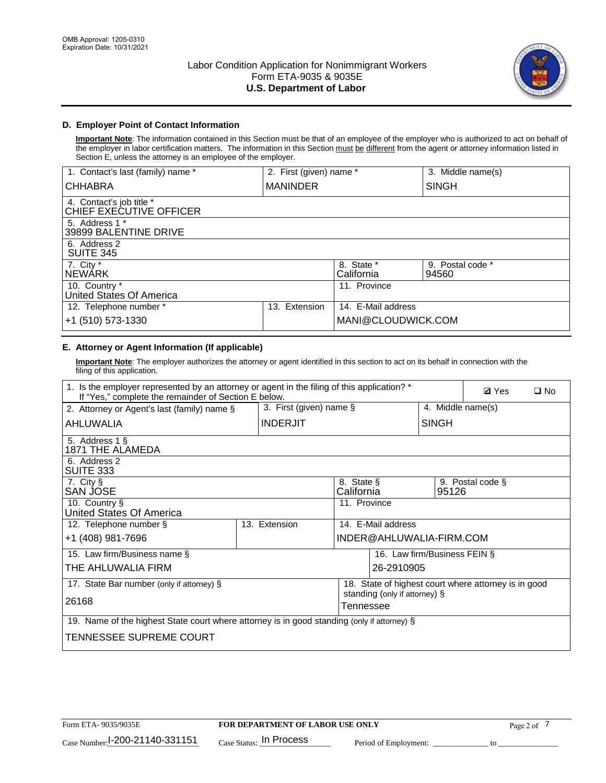

# **D. Employer Point of Contact Information**

**Important Note**: The information contained in this Section must be that of an employee of the employer who is authorized to act on behalf of the employer in labor certification matters. The information in this Section must be different from the agent or attorney information listed in Section E, unless the attorney is an employee of the employer.

| 1. Contact's last (family) name *                   | 2. First (given) name * |                          | 3. Middle name(s)         |
|-----------------------------------------------------|-------------------------|--------------------------|---------------------------|
| <b>CHHABRA</b>                                      | <b>MANINDER</b>         |                          | <b>SINGH</b>              |
| 4. Contact's job title *<br>CHIEF EXECUTIVE OFFICER |                         |                          |                           |
| 5. Address 1 *<br>39899 BALENTINE DRIVE             |                         |                          |                           |
| 6. Address 2<br><b>SUITE 345</b>                    |                         |                          |                           |
| 7. City *<br><b>NEWÁRK</b>                          |                         | 8. State *<br>California | 9. Postal code *<br>94560 |
| 10. Country *<br>United States Of America           |                         | 11. Province             |                           |
| 12. Telephone number *                              | Extension<br>13.        | 14. E-Mail address       |                           |
| +1 (510) 573-1330                                   |                         | MANI@CLOUDWICK.COM       |                           |

# **E. Attorney or Agent Information (If applicable)**

**Important Note**: The employer authorizes the attorney or agent identified in this section to act on its behalf in connection with the filing of this application.

| 1. Is the employer represented by an attorney or agent in the filing of this application? *<br>If "Yes," complete the remainder of Section E below. |  |                 |                                            |                                                       |                   | <b>Ø</b> Yes<br>$\square$ No                         |
|-----------------------------------------------------------------------------------------------------------------------------------------------------|--|-----------------|--------------------------------------------|-------------------------------------------------------|-------------------|------------------------------------------------------|
| 3. First (given) name $\S$<br>2. Attorney or Agent's last (family) name §                                                                           |  |                 |                                            |                                                       | 4. Middle name(s) |                                                      |
| AHLUWALIA                                                                                                                                           |  | <b>INDERJIT</b> |                                            |                                                       | <b>SINGH</b>      |                                                      |
| 5. Address 1 §<br><b>1871 THE ALAMEDA</b>                                                                                                           |  |                 |                                            |                                                       |                   |                                                      |
| 6. Address 2<br>SUITE 333                                                                                                                           |  |                 |                                            |                                                       |                   |                                                      |
| 7. City §<br>SAN JOSE                                                                                                                               |  |                 |                                            | 8. State §<br>9. Postal code §<br>California<br>95126 |                   |                                                      |
| 10. Country §<br>United States Of America                                                                                                           |  |                 | 11. Province                               |                                                       |                   |                                                      |
| 12. Telephone number §                                                                                                                              |  | 13. Extension   |                                            | 14. E-Mail address                                    |                   |                                                      |
| +1 (408) 981-7696                                                                                                                                   |  |                 |                                            | INDER@AHLUWALIA-FIRM.COM                              |                   |                                                      |
| 15. Law firm/Business name §                                                                                                                        |  |                 |                                            | 16. Law firm/Business FEIN §                          |                   |                                                      |
| THE AHLUWALIA FIRM                                                                                                                                  |  |                 |                                            | 26-2910905                                            |                   |                                                      |
| 17. State Bar number (only if attorney) §                                                                                                           |  |                 |                                            |                                                       |                   | 18. State of highest court where attorney is in good |
| 26168                                                                                                                                               |  |                 | standing (only if attorney) §<br>Tennessee |                                                       |                   |                                                      |
| 19. Name of the highest State court where attorney is in good standing (only if attorney) §                                                         |  |                 |                                            |                                                       |                   |                                                      |
| TENNESSEE SUPREME COURT                                                                                                                             |  |                 |                                            |                                                       |                   |                                                      |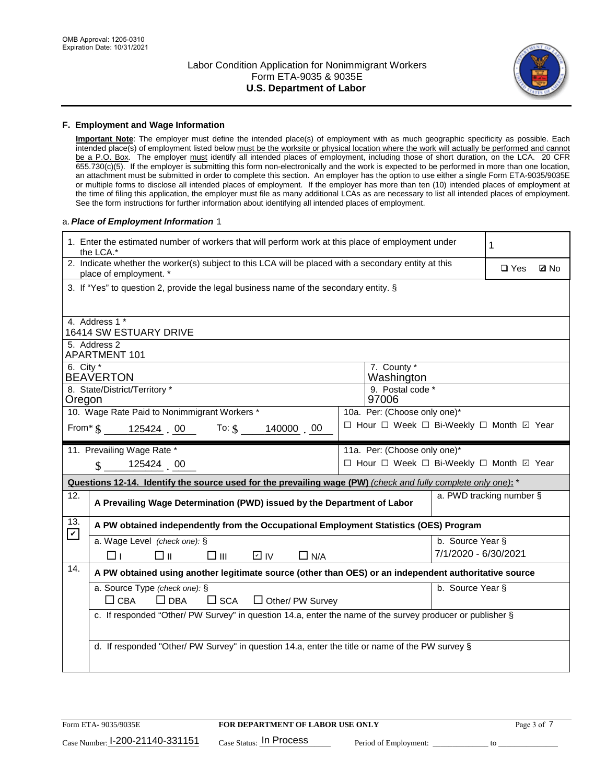

### **F. Employment and Wage Information**

**Important Note**: The employer must define the intended place(s) of employment with as much geographic specificity as possible. Each intended place(s) of employment listed below must be the worksite or physical location where the work will actually be performed and cannot be a P.O. Box. The employer must identify all intended places of employment, including those of short duration, on the LCA. 20 CFR 655.730(c)(5). If the employer is submitting this form non-electronically and the work is expected to be performed in more than one location, an attachment must be submitted in order to complete this section. An employer has the option to use either a single Form ETA-9035/9035E or multiple forms to disclose all intended places of employment. If the employer has more than ten (10) intended places of employment at the time of filing this application, the employer must file as many additional LCAs as are necessary to list all intended places of employment. See the form instructions for further information about identifying all intended places of employment.

### a.*Place of Employment Information* 1

|                                                                                                         | 1. Enter the estimated number of workers that will perform work at this place of employment under<br>the LCA.*                 |  | 1                                        |                          |  |  |  |
|---------------------------------------------------------------------------------------------------------|--------------------------------------------------------------------------------------------------------------------------------|--|------------------------------------------|--------------------------|--|--|--|
|                                                                                                         | 2. Indicate whether the worker(s) subject to this LCA will be placed with a secondary entity at this<br>place of employment. * |  | $\Box$ Yes                               | <b>Z</b> No              |  |  |  |
|                                                                                                         | 3. If "Yes" to question 2, provide the legal business name of the secondary entity. §                                          |  |                                          |                          |  |  |  |
|                                                                                                         |                                                                                                                                |  |                                          |                          |  |  |  |
|                                                                                                         | 4. Address 1 *<br>16414 SW ESTUARY DRIVE                                                                                       |  |                                          |                          |  |  |  |
|                                                                                                         | 5. Address 2<br>APARTMENT 101                                                                                                  |  |                                          |                          |  |  |  |
| 6. City $*$                                                                                             | <b>BEAVERTON</b>                                                                                                               |  | 7. County *<br>Washington                |                          |  |  |  |
| Oregon                                                                                                  | 8. State/District/Territory *                                                                                                  |  | 9. Postal code *<br>97006                |                          |  |  |  |
|                                                                                                         | 10. Wage Rate Paid to Nonimmigrant Workers *                                                                                   |  | 10a. Per: (Choose only one)*             |                          |  |  |  |
| □ Hour □ Week □ Bi-Weekly □ Month ☑ Year<br>From $\frac{1}{5}$ 125424 00 To: $\frac{1}{5}$<br>140000 00 |                                                                                                                                |  |                                          |                          |  |  |  |
|                                                                                                         | 11. Prevailing Wage Rate *                                                                                                     |  | 11a. Per: (Choose only one)*             |                          |  |  |  |
|                                                                                                         | 125424 00<br>$\mathbf{\$}$                                                                                                     |  | □ Hour □ Week □ Bi-Weekly □ Month ☑ Year |                          |  |  |  |
|                                                                                                         | Questions 12-14. Identify the source used for the prevailing wage (PW) (check and fully complete only one): *                  |  |                                          |                          |  |  |  |
| 12.                                                                                                     | A Prevailing Wage Determination (PWD) issued by the Department of Labor                                                        |  |                                          | a. PWD tracking number § |  |  |  |
| 13.                                                                                                     | A PW obtained independently from the Occupational Employment Statistics (OES) Program                                          |  |                                          |                          |  |  |  |
| $\mathbf v$                                                                                             | a. Wage Level (check one): §                                                                                                   |  |                                          | b. Source Year §         |  |  |  |
|                                                                                                         | D IV<br>□⊪<br>$\square$ $\square$<br>$\Box$ N/A<br>□⊥                                                                          |  |                                          | 7/1/2020 - 6/30/2021     |  |  |  |
|                                                                                                         | 14.<br>A PW obtained using another legitimate source (other than OES) or an independent authoritative source                   |  |                                          |                          |  |  |  |
|                                                                                                         | a. Source Type (check one): §                                                                                                  |  |                                          | b. Source Year §         |  |  |  |
|                                                                                                         | $\Box$ CBA<br>$\Box$ DBA<br>$\square$ SCA<br>$\Box$ Other/ PW Survey                                                           |  |                                          |                          |  |  |  |
|                                                                                                         | c. If responded "Other/ PW Survey" in question 14.a, enter the name of the survey producer or publisher §                      |  |                                          |                          |  |  |  |
|                                                                                                         | d. If responded "Other/ PW Survey" in question 14.a, enter the title or name of the PW survey §                                |  |                                          |                          |  |  |  |
|                                                                                                         |                                                                                                                                |  |                                          |                          |  |  |  |
|                                                                                                         |                                                                                                                                |  |                                          |                          |  |  |  |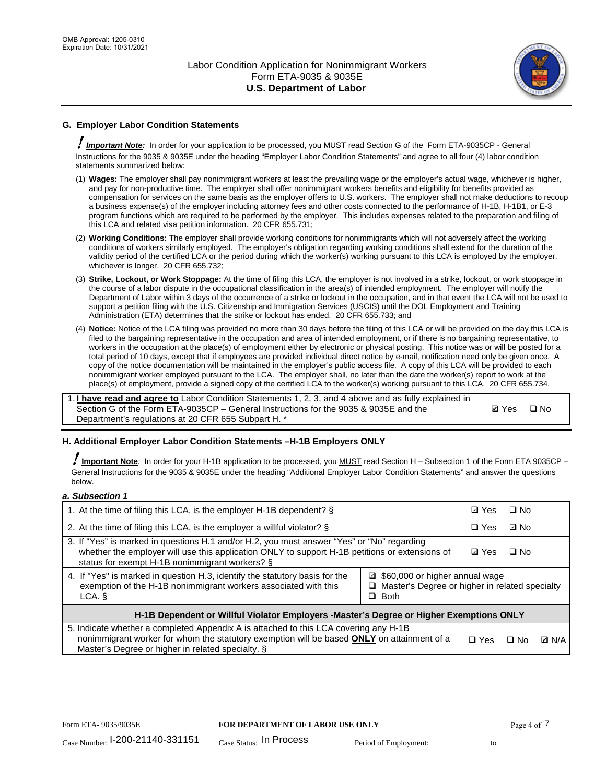

# **G. Employer Labor Condition Statements**

! *Important Note:* In order for your application to be processed, you MUST read Section G of the Form ETA-9035CP - General Instructions for the 9035 & 9035E under the heading "Employer Labor Condition Statements" and agree to all four (4) labor condition statements summarized below:

- (1) **Wages:** The employer shall pay nonimmigrant workers at least the prevailing wage or the employer's actual wage, whichever is higher, and pay for non-productive time. The employer shall offer nonimmigrant workers benefits and eligibility for benefits provided as compensation for services on the same basis as the employer offers to U.S. workers. The employer shall not make deductions to recoup a business expense(s) of the employer including attorney fees and other costs connected to the performance of H-1B, H-1B1, or E-3 program functions which are required to be performed by the employer. This includes expenses related to the preparation and filing of this LCA and related visa petition information. 20 CFR 655.731;
- (2) **Working Conditions:** The employer shall provide working conditions for nonimmigrants which will not adversely affect the working conditions of workers similarly employed. The employer's obligation regarding working conditions shall extend for the duration of the validity period of the certified LCA or the period during which the worker(s) working pursuant to this LCA is employed by the employer, whichever is longer. 20 CFR 655.732;
- (3) **Strike, Lockout, or Work Stoppage:** At the time of filing this LCA, the employer is not involved in a strike, lockout, or work stoppage in the course of a labor dispute in the occupational classification in the area(s) of intended employment. The employer will notify the Department of Labor within 3 days of the occurrence of a strike or lockout in the occupation, and in that event the LCA will not be used to support a petition filing with the U.S. Citizenship and Immigration Services (USCIS) until the DOL Employment and Training Administration (ETA) determines that the strike or lockout has ended. 20 CFR 655.733; and
- (4) **Notice:** Notice of the LCA filing was provided no more than 30 days before the filing of this LCA or will be provided on the day this LCA is filed to the bargaining representative in the occupation and area of intended employment, or if there is no bargaining representative, to workers in the occupation at the place(s) of employment either by electronic or physical posting. This notice was or will be posted for a total period of 10 days, except that if employees are provided individual direct notice by e-mail, notification need only be given once. A copy of the notice documentation will be maintained in the employer's public access file. A copy of this LCA will be provided to each nonimmigrant worker employed pursuant to the LCA. The employer shall, no later than the date the worker(s) report to work at the place(s) of employment, provide a signed copy of the certified LCA to the worker(s) working pursuant to this LCA. 20 CFR 655.734.

1. **I have read and agree to** Labor Condition Statements 1, 2, 3, and 4 above and as fully explained in Section G of the Form ETA-9035CP – General Instructions for the 9035 & 9035E and the Department's regulations at 20 CFR 655 Subpart H. \*

**Ø**Yes ロNo

## **H. Additional Employer Labor Condition Statements –H-1B Employers ONLY**

!**Important Note***:* In order for your H-1B application to be processed, you MUST read Section H – Subsection 1 of the Form ETA 9035CP – General Instructions for the 9035 & 9035E under the heading "Additional Employer Labor Condition Statements" and answer the questions below.

#### *a. Subsection 1*

| 1. At the time of filing this LCA, is the employer H-1B dependent? §                                                                                                                                                                                                 |  |            | $\square$ No |              |
|----------------------------------------------------------------------------------------------------------------------------------------------------------------------------------------------------------------------------------------------------------------------|--|------------|--------------|--------------|
| 2. At the time of filing this LCA, is the employer a willful violator? $\S$                                                                                                                                                                                          |  | $\Box$ Yes | ⊡ No         |              |
| 3. If "Yes" is marked in questions H.1 and/or H.2, you must answer "Yes" or "No" regarding<br>whether the employer will use this application ONLY to support H-1B petitions or extensions of<br>status for exempt H-1B nonimmigrant workers? §                       |  |            | $\Box$ No    |              |
| 4. If "Yes" is marked in question H.3, identify the statutory basis for the<br>■ \$60,000 or higher annual wage<br>exemption of the H-1B nonimmigrant workers associated with this<br>□ Master's Degree or higher in related specialty<br>$\Box$ Both<br>LCA. §      |  |            |              |              |
| H-1B Dependent or Willful Violator Employers -Master's Degree or Higher Exemptions ONLY                                                                                                                                                                              |  |            |              |              |
| 5. Indicate whether a completed Appendix A is attached to this LCA covering any H-1B<br>nonimmigrant worker for whom the statutory exemption will be based <b>ONLY</b> on attainment of a<br>$\Box$ Yes<br>⊡ No<br>Master's Degree or higher in related specialty. § |  |            |              | <b>Q</b> N/A |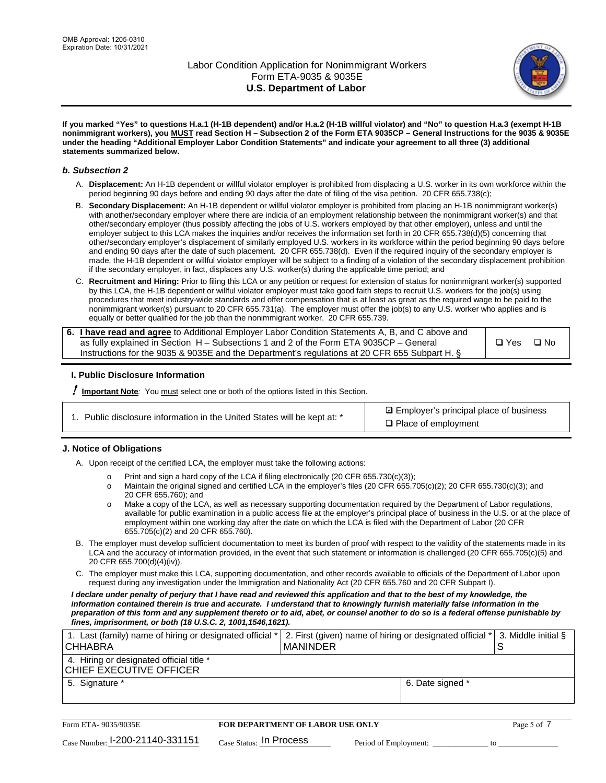

**If you marked "Yes" to questions H.a.1 (H-1B dependent) and/or H.a.2 (H-1B willful violator) and "No" to question H.a.3 (exempt H-1B nonimmigrant workers), you MUST read Section H – Subsection 2 of the Form ETA 9035CP – General Instructions for the 9035 & 9035E under the heading "Additional Employer Labor Condition Statements" and indicate your agreement to all three (3) additional statements summarized below.**

### *b. Subsection 2*

- A. **Displacement:** An H-1B dependent or willful violator employer is prohibited from displacing a U.S. worker in its own workforce within the period beginning 90 days before and ending 90 days after the date of filing of the visa petition. 20 CFR 655.738(c);
- B. **Secondary Displacement:** An H-1B dependent or willful violator employer is prohibited from placing an H-1B nonimmigrant worker(s) with another/secondary employer where there are indicia of an employment relationship between the nonimmigrant worker(s) and that other/secondary employer (thus possibly affecting the jobs of U.S. workers employed by that other employer), unless and until the employer subject to this LCA makes the inquiries and/or receives the information set forth in 20 CFR 655.738(d)(5) concerning that other/secondary employer's displacement of similarly employed U.S. workers in its workforce within the period beginning 90 days before and ending 90 days after the date of such placement. 20 CFR 655.738(d). Even if the required inquiry of the secondary employer is made, the H-1B dependent or willful violator employer will be subject to a finding of a violation of the secondary displacement prohibition if the secondary employer, in fact, displaces any U.S. worker(s) during the applicable time period; and
- C. **Recruitment and Hiring:** Prior to filing this LCA or any petition or request for extension of status for nonimmigrant worker(s) supported by this LCA, the H-1B dependent or willful violator employer must take good faith steps to recruit U.S. workers for the job(s) using procedures that meet industry-wide standards and offer compensation that is at least as great as the required wage to be paid to the nonimmigrant worker(s) pursuant to 20 CFR 655.731(a). The employer must offer the job(s) to any U.S. worker who applies and is equally or better qualified for the job than the nonimmigrant worker. 20 CFR 655.739.

| 6. I have read and agree to Additional Employer Labor Condition Statements A, B, and C above and |       |           |
|--------------------------------------------------------------------------------------------------|-------|-----------|
| as fully explained in Section H – Subsections 1 and 2 of the Form ETA 9035CP – General           | □ Yes | $\Box$ No |
| Instructions for the 9035 & 9035E and the Department's regulations at 20 CFR 655 Subpart H. §    |       |           |

## **I. Public Disclosure Information**

! **Important Note***:* You must select one or both of the options listed in this Section.

|  | 1. Public disclosure information in the United States will be kept at: * |  |  |  |
|--|--------------------------------------------------------------------------|--|--|--|
|  |                                                                          |  |  |  |

**sqrt** Employer's principal place of business □ Place of employment

## **J. Notice of Obligations**

A. Upon receipt of the certified LCA, the employer must take the following actions:

- o Print and sign a hard copy of the LCA if filing electronically (20 CFR 655.730(c)(3));<br>
Maintain the original signed and certified LCA in the employer's files (20 CFR 655.7
- Maintain the original signed and certified LCA in the employer's files (20 CFR 655.705(c)(2); 20 CFR 655.730(c)(3); and 20 CFR 655.760); and
- o Make a copy of the LCA, as well as necessary supporting documentation required by the Department of Labor regulations, available for public examination in a public access file at the employer's principal place of business in the U.S. or at the place of employment within one working day after the date on which the LCA is filed with the Department of Labor (20 CFR 655.705(c)(2) and 20 CFR 655.760).
- B. The employer must develop sufficient documentation to meet its burden of proof with respect to the validity of the statements made in its LCA and the accuracy of information provided, in the event that such statement or information is challenged (20 CFR 655.705(c)(5) and 20 CFR 655.700(d)(4)(iv)).
- C. The employer must make this LCA, supporting documentation, and other records available to officials of the Department of Labor upon request during any investigation under the Immigration and Nationality Act (20 CFR 655.760 and 20 CFR Subpart I).

*I declare under penalty of perjury that I have read and reviewed this application and that to the best of my knowledge, the*  information contained therein is true and accurate. I understand that to knowingly furnish materially false information in the *preparation of this form and any supplement thereto or to aid, abet, or counsel another to do so is a federal offense punishable by fines, imprisonment, or both (18 U.S.C. 2, 1001,1546,1621).*

| 1. Last (family) name of hiring or designated official *<br><b>CHHABRA</b> |                         | <b>MANINDER</b>                         | 2. First (given) name of hiring or designated official * |                  | S  | 3. Middle initial § |
|----------------------------------------------------------------------------|-------------------------|-----------------------------------------|----------------------------------------------------------|------------------|----|---------------------|
| 4. Hiring or designated official title *<br>CHIEF EXECUTIVE OFFICER        |                         |                                         |                                                          |                  |    |                     |
| 5. Signature *                                                             |                         |                                         |                                                          | 6. Date signed * |    |                     |
|                                                                            |                         |                                         |                                                          |                  |    |                     |
| Form ETA-9035/9035E                                                        |                         | <b>FOR DEPARTMENT OF LABOR USE ONLY</b> |                                                          |                  |    | Page 5 of 7         |
| Case Number: 1-200-21140-331151                                            | Case Status: In Process |                                         | Period of Employment:                                    |                  | tΩ |                     |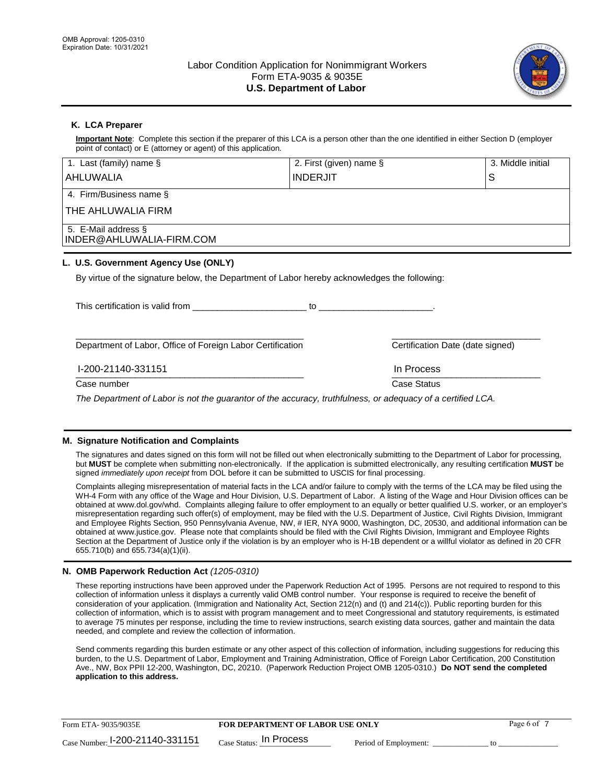

## **K. LCA Preparer**

**Important Note**: Complete this section if the preparer of this LCA is a person other than the one identified in either Section D (employer point of contact) or E (attorney or agent) of this application.

| 1. Last (family) name $\S$                                                                                 | 2. First (given) name § |                                  | 3. Middle initial |  |
|------------------------------------------------------------------------------------------------------------|-------------------------|----------------------------------|-------------------|--|
| AHLUWALIA                                                                                                  | <b>INDERJIT</b>         |                                  | S                 |  |
| 4. Firm/Business name §                                                                                    |                         |                                  |                   |  |
| THE AHLUWALIA FIRM                                                                                         |                         |                                  |                   |  |
| 5. E-Mail address §<br>INDER@AHLUWALIA-FIRM.COM                                                            |                         |                                  |                   |  |
| L. U.S. Government Agency Use (ONLY)                                                                       |                         |                                  |                   |  |
| By virtue of the signature below, the Department of Labor hereby acknowledges the following:               |                         |                                  |                   |  |
| This certification is valid from                                                                           | to                      |                                  |                   |  |
| Department of Labor, Office of Foreign Labor Certification                                                 |                         | Certification Date (date signed) |                   |  |
| I-200-21140-331151                                                                                         |                         | In Process                       |                   |  |
| Case number                                                                                                |                         | Case Status                      |                   |  |
| The Department of Labor is not the quaranter of the accuracy, truthfulness, or adocupay of a cortified LCA |                         |                                  |                   |  |

*The Department of Labor is not the guarantor of the accuracy, truthfulness, or adequacy of a certified LCA.*

## **M. Signature Notification and Complaints**

The signatures and dates signed on this form will not be filled out when electronically submitting to the Department of Labor for processing, but **MUST** be complete when submitting non-electronically. If the application is submitted electronically, any resulting certification **MUST** be signed *immediately upon receipt* from DOL before it can be submitted to USCIS for final processing.

Complaints alleging misrepresentation of material facts in the LCA and/or failure to comply with the terms of the LCA may be filed using the WH-4 Form with any office of the Wage and Hour Division, U.S. Department of Labor. A listing of the Wage and Hour Division offices can be obtained at www.dol.gov/whd. Complaints alleging failure to offer employment to an equally or better qualified U.S. worker, or an employer's misrepresentation regarding such offer(s) of employment, may be filed with the U.S. Department of Justice, Civil Rights Division, Immigrant and Employee Rights Section, 950 Pennsylvania Avenue, NW, # IER, NYA 9000, Washington, DC, 20530, and additional information can be obtained at www.justice.gov. Please note that complaints should be filed with the Civil Rights Division, Immigrant and Employee Rights Section at the Department of Justice only if the violation is by an employer who is H-1B dependent or a willful violator as defined in 20 CFR 655.710(b) and 655.734(a)(1)(ii).

## **N. OMB Paperwork Reduction Act** *(1205-0310)*

These reporting instructions have been approved under the Paperwork Reduction Act of 1995. Persons are not required to respond to this collection of information unless it displays a currently valid OMB control number. Your response is required to receive the benefit of consideration of your application. (Immigration and Nationality Act, Section 212(n) and (t) and 214(c)). Public reporting burden for this collection of information, which is to assist with program management and to meet Congressional and statutory requirements, is estimated to average 75 minutes per response, including the time to review instructions, search existing data sources, gather and maintain the data needed, and complete and review the collection of information.

Send comments regarding this burden estimate or any other aspect of this collection of information, including suggestions for reducing this burden, to the U.S. Department of Labor, Employment and Training Administration, Office of Foreign Labor Certification, 200 Constitution Ave., NW, Box PPII 12-200, Washington, DC, 20210. (Paperwork Reduction Project OMB 1205-0310.) **Do NOT send the completed application to this address.**

| Form ETA-9035/9035E             | <b>FOR DEPARTMENT OF LABOR USE ONLY</b> | Page 6 of             |  |
|---------------------------------|-----------------------------------------|-----------------------|--|
| Case Number: 1-200-21140-331151 | $_{\rm Case~S status:}$ In Process      | Period of Employment: |  |